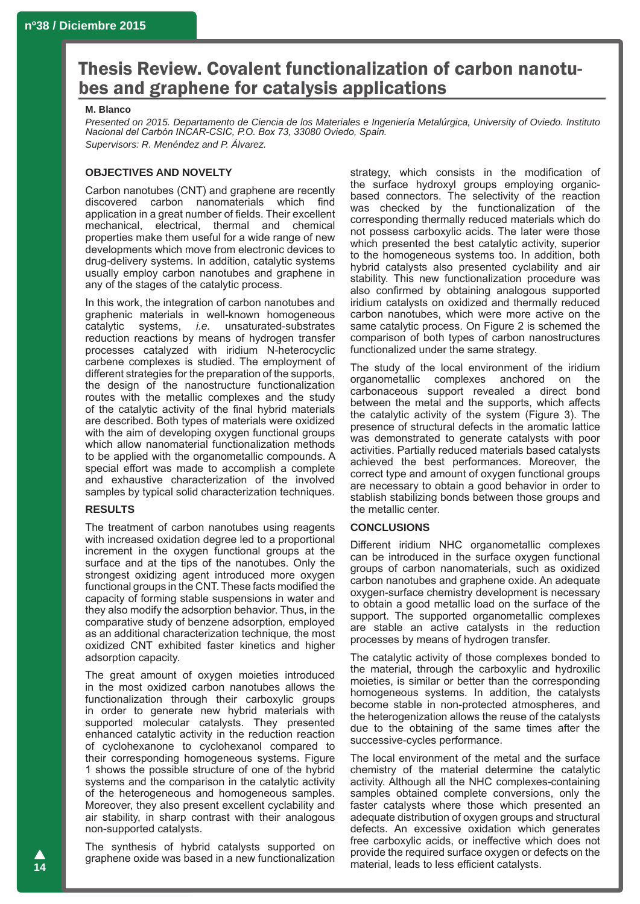# Thesis Review. Covalent functionalization of carbon nanotubes and graphene for catalysis applications

#### **M. Blanco**

*Presented on 2015. Departamento de Ciencia de los Materiales e Ingeniería Metalúrgica, University of Oviedo. Instituto Nacional del Carbón INCAR-CSIC, P.O. Box 73, 33080 Oviedo, Spain. Supervisors: R. Menéndez and P. Álvarez.*

## **OBJECTIVES AND NOVELTY**

Carbon nanotubes (CNT) and graphene are recently discovered carbon nanomaterials which find application in a great number of fields. Their excellent mechanical, electrical, thermal and chemical properties make them useful for a wide range of new developments which move from electronic devices to drug-delivery systems. In addition, catalytic systems usually employ carbon nanotubes and graphene in any of the stages of the catalytic process.

In this work, the integration of carbon nanotubes and graphenic materials in well-known homogeneous<br>catalytic systems, *i.e.* unsaturated-substrates systems, *i.e.* unsaturated-substrates reduction reactions by means of hydrogen transfer processes catalyzed with iridium N-heterocyclic carbene complexes is studied. The employment of different strategies for the preparation of the supports, the design of the nanostructure functionalization routes with the metallic complexes and the study of the catalytic activity of the final hybrid materials are described. Both types of materials were oxidized with the aim of developing oxygen functional groups which allow nanomaterial functionalization methods to be applied with the organometallic compounds. A special effort was made to accomplish a complete and exhaustive characterization of the involved samples by typical solid characterization techniques.

#### **RESULTS**

The treatment of carbon nanotubes using reagents with increased oxidation degree led to a proportional increment in the oxygen functional groups at the surface and at the tips of the nanotubes. Only the strongest oxidizing agent introduced more oxygen functional groups in the CNT. These facts modified the capacity of forming stable suspensions in water and they also modify the adsorption behavior. Thus, in the comparative study of benzene adsorption, employed as an additional characterization technique, the most oxidized CNT exhibited faster kinetics and higher adsorption capacity.

The great amount of oxygen moieties introduced in the most oxidized carbon nanotubes allows the functionalization through their carboxylic groups in order to generate new hybrid materials with supported molecular catalysts. They presented enhanced catalytic activity in the reduction reaction of cyclohexanone to cyclohexanol compared to their corresponding homogeneous systems. Figure 1 shows the possible structure of one of the hybrid systems and the comparison in the catalytic activity of the heterogeneous and homogeneous samples. Moreover, they also present excellent cyclability and air stability, in sharp contrast with their analogous non-supported catalysts.

The synthesis of hybrid catalysts supported on graphene oxide was based in a new functionalization strategy, which consists in the modification of the surface hydroxyl groups employing organicbased connectors. The selectivity of the reaction was checked by the functionalization of the corresponding thermally reduced materials which do not possess carboxylic acids. The later were those which presented the best catalytic activity, superior to the homogeneous systems too. In addition, both hybrid catalysts also presented cyclability and air stability. This new functionalization procedure was also confirmed by obtaining analogous supported iridium catalysts on oxidized and thermally reduced carbon nanotubes, which were more active on the same catalytic process. On Figure 2 is schemed the comparison of both types of carbon nanostructures functionalized under the same strategy.

The study of the local environment of the iridium organometallic complexes anchored on the carbonaceous support revealed a direct bond between the metal and the supports, which affects the catalytic activity of the system (Figure 3). The presence of structural defects in the aromatic lattice was demonstrated to generate catalysts with poor activities. Partially reduced materials based catalysts achieved the best performances. Moreover, the correct type and amount of oxygen functional groups are necessary to obtain a good behavior in order to stablish stabilizing bonds between those groups and the metallic center.

## **CONCLUSIONS**

Different iridium NHC organometallic complexes can be introduced in the surface oxygen functional groups of carbon nanomaterials, such as oxidized carbon nanotubes and graphene oxide. An adequate oxygen-surface chemistry development is necessary to obtain a good metallic load on the surface of the support. The supported organometallic complexes are stable an active catalysts in the reduction processes by means of hydrogen transfer.

The catalytic activity of those complexes bonded to the material, through the carboxylic and hydroxilic moieties, is similar or better than the corresponding homogeneous systems. In addition, the catalysts become stable in non-protected atmospheres, and the heterogenization allows the reuse of the catalysts due to the obtaining of the same times after the successive-cycles performance.

The local environment of the metal and the surface chemistry of the material determine the catalytic activity. Although all the NHC complexes-containing samples obtained complete conversions, only the faster catalysts where those which presented an adequate distribution of oxygen groups and structural defects. An excessive oxidation which generates free carboxylic acids, or ineffective which does not provide the required surface oxygen or defects on the material, leads to less efficient catalysts.